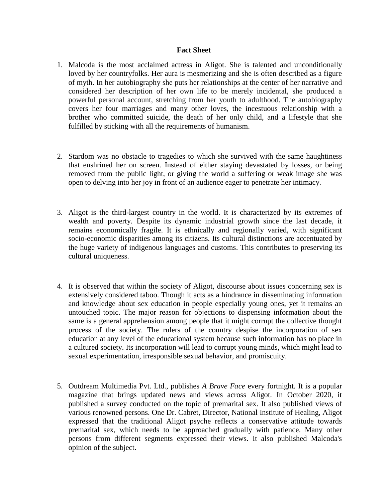## **Fact Sheet**

- 1. Malcoda is the most acclaimed actress in Aligot. She is talented and unconditionally loved by her countryfolks. Her aura is mesmerizing and she is often described as a figure of myth. In her autobiography she puts her relationships at the center of her narrative and considered her description of her own life to be merely incidental, she produced a powerful personal account, stretching from her youth to adulthood. The autobiography covers her four marriages and many other loves, the incestuous relationship with a brother who committed suicide, the death of her only child, and a lifestyle that she fulfilled by sticking with all the requirements of humanism.
- 2. Stardom was no obstacle to tragedies to which she survived with the same haughtiness that enshrined her on screen. Instead of either staying devastated by losses, or being removed from the public light, or giving the world a suffering or weak image she was open to delving into her joy in front of an audience eager to penetrate her intimacy.
- 3. Aligot is the third-largest country in the world. It is characterized by its extremes of wealth and poverty. Despite its dynamic industrial growth since the last decade, it remains economically fragile. It is ethnically and regionally varied, with significant socio-economic disparities among its citizens. Its cultural distinctions are accentuated by the huge variety of indigenous languages and customs. This contributes to preserving its cultural uniqueness.
- 4. It is observed that within the society of Aligot, discourse about issues concerning sex is extensively considered taboo. Though it acts as a hindrance in disseminating information and knowledge about sex education in people especially young ones, yet it remains an untouched topic. The major reason for objections to dispensing information about the same is a general apprehension among people that it might corrupt the collective thought process of the society. The rulers of the country despise the incorporation of sex education at any level of the educational system because such information has no place in a cultured society. Its incorporation will lead to corrupt young minds, which might lead to sexual experimentation, irresponsible sexual behavior, and promiscuity.
- 5. Outdream Multimedia Pvt. Ltd., publishes *A Brave Face* every fortnight. It is a popular magazine that brings updated news and views across Aligot. In October 2020, it published a survey conducted on the topic of premarital sex. It also published views of various renowned persons. One Dr. Cabret, Director, National Institute of Healing, Aligot expressed that the traditional Aligot psyche reflects a conservative attitude towards premarital sex, which needs to be approached gradually with patience. Many other persons from different segments expressed their views. It also published Malcoda's opinion of the subject.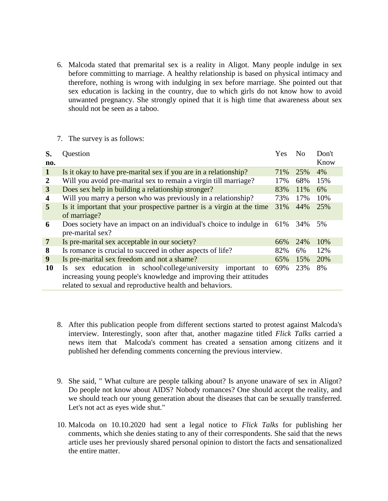6. Malcoda stated that premarital sex is a reality in Aligot. Many people indulge in sex before committing to marriage. A healthy relationship is based on physical intimacy and therefore, nothing is wrong with indulging in sex before marriage. She pointed out that sex education is lacking in the country, due to which girls do not know how to avoid unwanted pregnancy. She strongly opined that it is high time that awareness about sex should not be seen as a taboo.

## 7. The survey is as follows:

| S.<br>no.      | Question                                                              | <b>Yes</b> | N <sub>0</sub> | Don't<br>Know |
|----------------|-----------------------------------------------------------------------|------------|----------------|---------------|
| $\mathbf{1}$   | Is it okay to have pre-marital sex if you are in a relationship?      | 71%        | 25%            | 4%            |
| 2              | Will you avoid pre-marital sex to remain a virgin till marriage?      | 17%        | 68%            | 15%           |
| 3              | Does sex help in building a relationship stronger?                    | 83%        | 11%            | 6%            |
| 4              | Will you marry a person who was previously in a relationship?         | 73%        | 17%            | 10%           |
| 5              | Is it important that your prospective partner is a virgin at the time | 31%        | 44%            | 25%           |
|                | of marriage?                                                          |            |                |               |
| 6              | Does society have an impact on an individual's choice to indulge in   | 61%        | 34%            | 5%            |
|                | pre-marital sex?                                                      |            |                |               |
| $\overline{7}$ | Is pre-marital sex acceptable in our society?                         | 66%        | 24%            | 10%           |
| 8              | Is romance is crucial to succeed in other aspects of life?            | 82%        | 6%             | 12%           |
| 9              | Is pre-marital sex freedom and not a shame?                           | 65%        | 15%            | 20%           |
| 10             | sex education in school\college\university<br>important<br>Is<br>to   | 69%        | 23%            | 8%            |
|                | increasing young people's knowledge and improving their attitudes     |            |                |               |
|                | related to sexual and reproductive health and behaviors.              |            |                |               |

- 8. After this publication people from different sections started to protest against Malcoda's interview. Interestingly, soon after that, another magazine titled *Flick Talks* carried a news item that Malcoda's comment has created a sensation among citizens and it published her defending comments concerning the previous interview.
- 9. She said, " What culture are people talking about? Is anyone unaware of sex in Aligot? Do people not know about AIDS? Nobody romances? One should accept the reality, and we should teach our young generation about the diseases that can be sexually transferred. Let's not act as eyes wide shut."
- 10. Malcoda on 10.10.2020 had sent a legal notice to *Flick Talks* for publishing her comments, which she denies stating to any of their correspondents. She said that the news article uses her previously shared personal opinion to distort the facts and sensationalized the entire matter.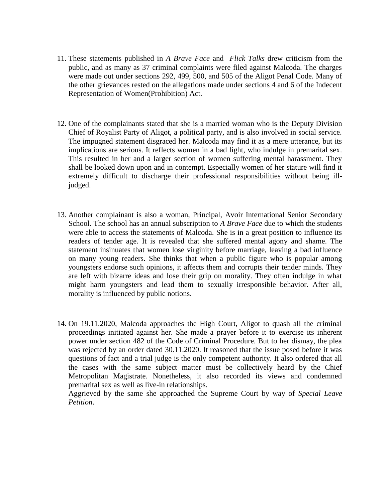- 11. These statements published in *A Brave Face* and *Flick Talks* drew criticism from the public, and as many as 37 criminal complaints were filed against Malcoda. The charges were made out under sections 292, 499, 500, and 505 of the Aligot Penal Code. Many of the other grievances rested on the allegations made under sections 4 and 6 of the Indecent Representation of Women(Prohibition) Act.
- 12. One of the complainants stated that she is a married woman who is the Deputy Division Chief of Royalist Party of Aligot, a political party, and is also involved in social service. The impugned statement disgraced her. Malcoda may find it as a mere utterance, but its implications are serious. It reflects women in a bad light, who indulge in premarital sex. This resulted in her and a larger section of women suffering mental harassment. They shall be looked down upon and in contempt. Especially women of her stature will find it extremely difficult to discharge their professional responsibilities without being illjudged.
- 13. Another complainant is also a woman, Principal, Avoir International Senior Secondary School. The school has an annual subscription to *A Brave Face* due to which the students were able to access the statements of Malcoda. She is in a great position to influence its readers of tender age. It is revealed that she suffered mental agony and shame. The statement insinuates that women lose virginity before marriage, leaving a bad influence on many young readers. She thinks that when a public figure who is popular among youngsters endorse such opinions, it affects them and corrupts their tender minds. They are left with bizarre ideas and lose their grip on morality. They often indulge in what might harm youngsters and lead them to sexually irresponsible behavior. After all, morality is influenced by public notions.
- 14. On 19.11.2020, Malcoda approaches the High Court, Aligot to quash all the criminal proceedings initiated against her. She made a prayer before it to exercise its inherent power under section 482 of the Code of Criminal Procedure. But to her dismay, the plea was rejected by an order dated 30.11.2020. It reasoned that the issue posed before it was questions of fact and a trial judge is the only competent authority. It also ordered that all the cases with the same subject matter must be collectively heard by the Chief Metropolitan Magistrate. Nonetheless, it also recorded its views and condemned premarital sex as well as live-in relationships.

Aggrieved by the same she approached the Supreme Court by way of *Special Leave Petition*.